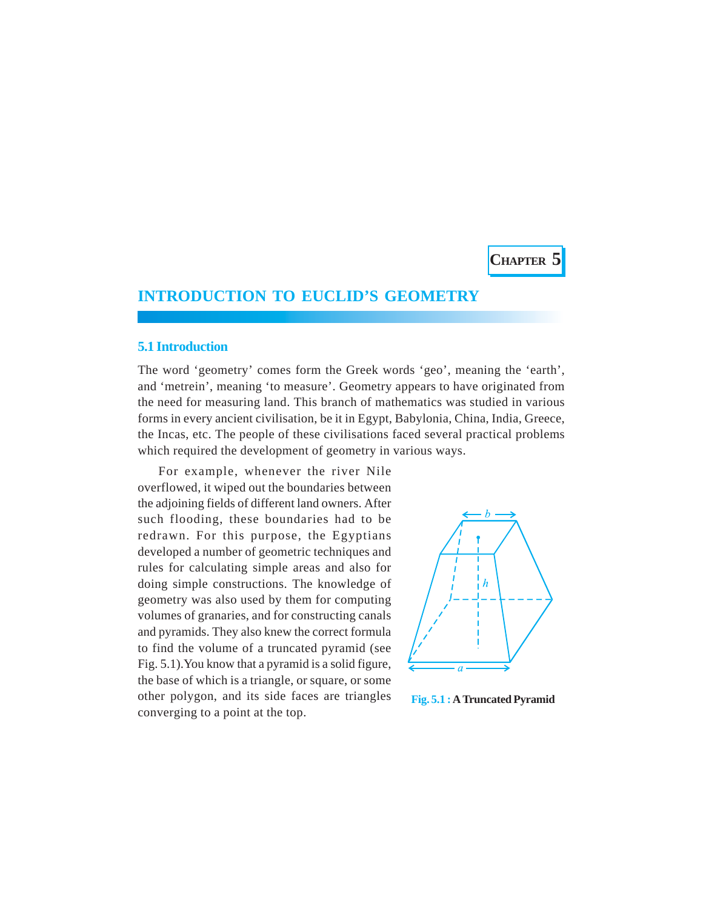**CHAPTER 5**

# **INTRODUCTION TO EUCLID'S GEOMETRY**

# **5.1 Introduction**

The word 'geometry' comes form the Greek words 'geo', meaning the 'earth', and 'metrein', meaning 'to measure'. Geometry appears to have originated from the need for measuring land. This branch of mathematics was studied in various forms in every ancient civilisation, be it in Egypt, Babylonia, China, India, Greece, the Incas, etc. The people of these civilisations faced several practical problems which required the development of geometry in various ways.

For example, whenever the river Nile overflowed, it wiped out the boundaries between the adjoining fields of different land owners. After such flooding, these boundaries had to be redrawn. For this purpose, the Egyptians developed a number of geometric techniques and rules for calculating simple areas and also for doing simple constructions. The knowledge of geometry was also used by them for computing volumes of granaries, and for constructing canals and pyramids. They also knew the correct formula to find the volume of a truncated pyramid (see Fig. 5.1).You know that a pyramid is a solid figure, the base of which is a triangle, or square, or some other polygon, and its side faces are triangles converging to a point at the top.



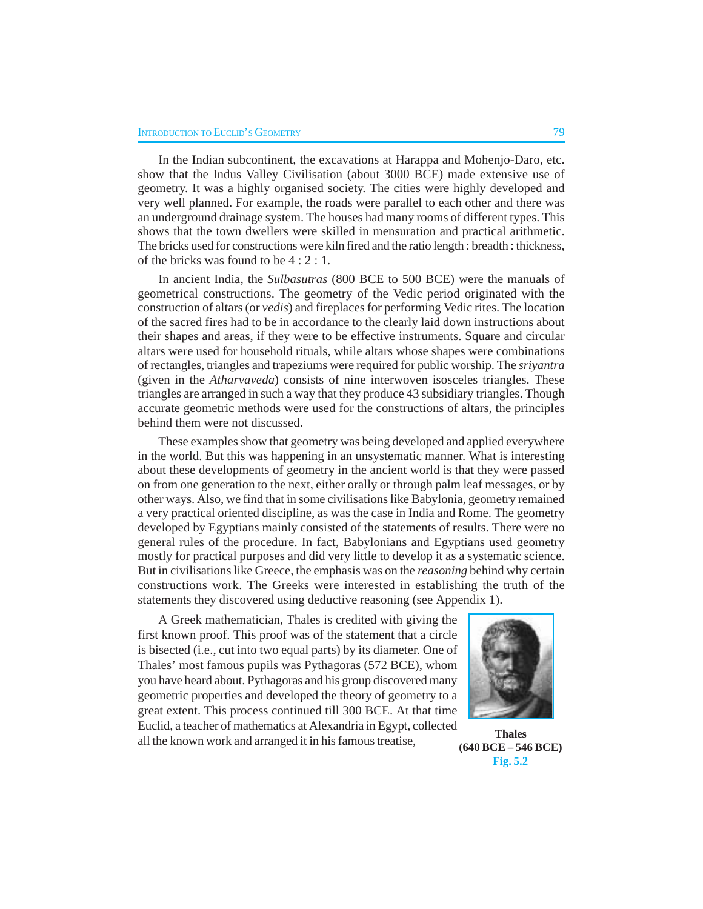In the Indian subcontinent, the excavations at Harappa and Mohenjo-Daro, etc. show that the Indus Valley Civilisation (about 3000 BCE) made extensive use of geometry. It was a highly organised society. The cities were highly developed and very well planned. For example, the roads were parallel to each other and there was an underground drainage system. The houses had many rooms of different types. This shows that the town dwellers were skilled in mensuration and practical arithmetic. The bricks used for constructions were kiln fired and the ratio length : breadth : thickness, of the bricks was found to be 4 : 2 : 1.

In ancient India, the *Sulbasutras* (800 BCE to 500 BCE) were the manuals of geometrical constructions. The geometry of the Vedic period originated with the construction of altars (or *vedis*) and fireplaces for performing Vedic rites. The location of the sacred fires had to be in accordance to the clearly laid down instructions about their shapes and areas, if they were to be effective instruments. Square and circular altars were used for household rituals, while altars whose shapes were combinations of rectangles, triangles and trapeziums were required for public worship. The *sriyantra* (given in the *Atharvaveda*) consists of nine interwoven isosceles triangles. These triangles are arranged in such a way that they produce 43 subsidiary triangles. Though accurate geometric methods were used for the constructions of altars, the principles behind them were not discussed.

These examples show that geometry was being developed and applied everywhere in the world. But this was happening in an unsystematic manner. What is interesting about these developments of geometry in the ancient world is that they were passed on from one generation to the next, either orally or through palm leaf messages, or by other ways. Also, we find that in some civilisations like Babylonia, geometry remained a very practical oriented discipline, as was the case in India and Rome. The geometry developed by Egyptians mainly consisted of the statements of results. There were no general rules of the procedure. In fact, Babylonians and Egyptians used geometry mostly for practical purposes and did very little to develop it as a systematic science. But in civilisations like Greece, the emphasis was on the *reasoning* behind why certain constructions work. The Greeks were interested in establishing the truth of the statements they discovered using deductive reasoning (see Appendix 1).

A Greek mathematician, Thales is credited with giving the first known proof. This proof was of the statement that a circle is bisected (i.e., cut into two equal parts) by its diameter. One of Thales' most famous pupils was Pythagoras (572 BCE), whom you have heard about. Pythagoras and his group discovered many geometric properties and developed the theory of geometry to a great extent. This process continued till 300 BCE. At that time Euclid, a teacher of mathematics at Alexandria in Egypt, collected all the known work and arranged it in his famous treatise,



**(640 BCE – 546 BCE) Fig. 5.2**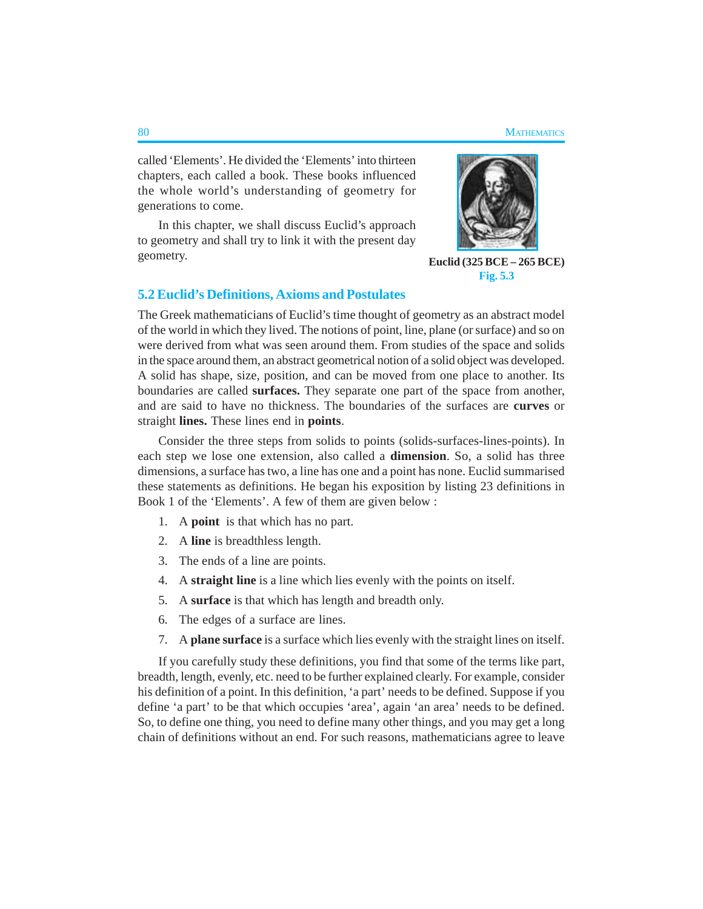called 'Elements'. He divided the 'Elements' into thirteen chapters, each called a book. These books influenced the whole world's understanding of geometry for generations to come.

In this chapter, we shall discuss Euclid's approach to geometry and shall try to link it with the present day geometry.



**Euclid (325 BCE – 265 BCE) Fig. 5.3**

### **5.2 Euclid's Definitions, Axioms and Postulates**

The Greek mathematicians of Euclid's time thought of geometry as an abstract model of the world in which they lived. The notions of point, line, plane (or surface) and so on were derived from what was seen around them. From studies of the space and solids in the space around them, an abstract geometrical notion of a solid object was developed. A solid has shape, size, position, and can be moved from one place to another. Its boundaries are called **surfaces.** They separate one part of the space from another, and are said to have no thickness. The boundaries of the surfaces are **curves** or straight **lines.** These lines end in **points**.

Consider the three steps from solids to points (solids-surfaces-lines-points). In each step we lose one extension, also called a **dimension**. So, a solid has three dimensions, a surface has two, a line has one and a point has none. Euclid summarised these statements as definitions. He began his exposition by listing 23 definitions in Book 1 of the 'Elements'. A few of them are given below :

- 1. A **point** is that which has no part.
- 2. A **line** is breadthless length.
- 3. The ends of a line are points.
- 4. A **straight line** is a line which lies evenly with the points on itself.
- 5. A **surface** is that which has length and breadth only.
- 6. The edges of a surface are lines.
- 7. A **plane surface** is a surface which lies evenly with the straight lines on itself.

If you carefully study these definitions, you find that some of the terms like part, breadth, length, evenly, etc. need to be further explained clearly. For example, consider his definition of a point. In this definition, 'a part' needs to be defined. Suppose if you define 'a part' to be that which occupies 'area', again 'an area' needs to be defined. So, to define one thing, you need to define many other things, and you may get a long chain of definitions without an end. For such reasons, mathematicians agree to leave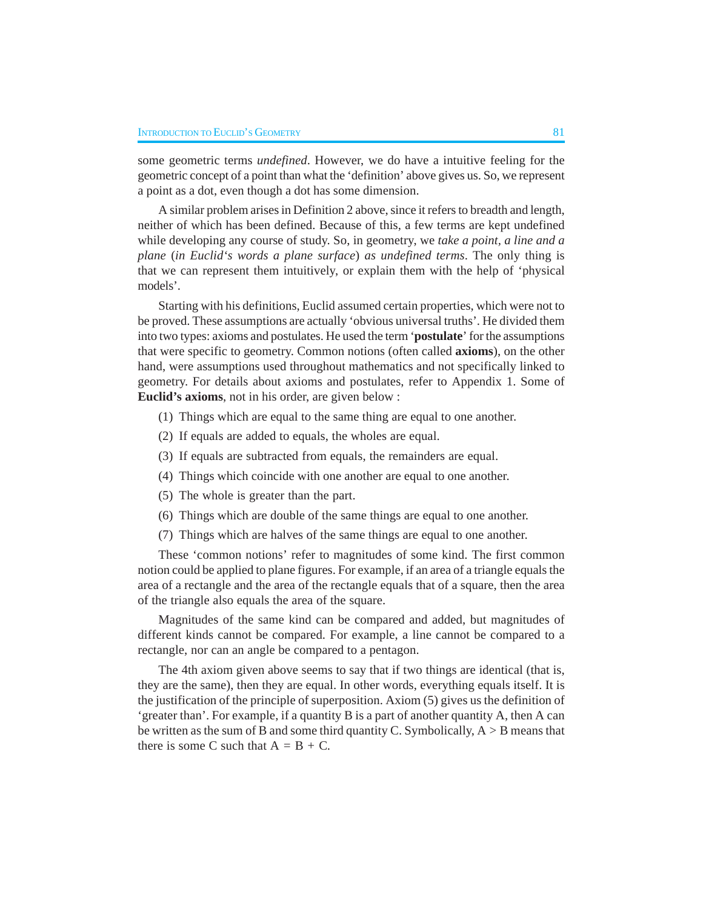some geometric terms *undefined*. However, we do have a intuitive feeling for the geometric concept of a point than what the 'definition' above gives us. So, we represent a point as a dot, even though a dot has some dimension.

A similar problem arises in Definition 2 above, since it refers to breadth and length, neither of which has been defined. Because of this, a few terms are kept undefined while developing any course of study. So, in geometry, we *take a point, a line and a plane* (*in Euclid's words a plane surface*) *as undefined terms*. The only thing is that we can represent them intuitively, or explain them with the help of 'physical models'.

Starting with his definitions, Euclid assumed certain properties, which were not to be proved. These assumptions are actually 'obvious universal truths'. He divided them into two types: axioms and postulates. He used the term '**postulate**' for the assumptions that were specific to geometry. Common notions (often called **axioms**), on the other hand, were assumptions used throughout mathematics and not specifically linked to geometry. For details about axioms and postulates, refer to Appendix 1. Some of **Euclid's axioms**, not in his order, are given below :

- (1) Things which are equal to the same thing are equal to one another.
- (2) If equals are added to equals, the wholes are equal.
- (3) If equals are subtracted from equals, the remainders are equal.
- (4) Things which coincide with one another are equal to one another.
- (5) The whole is greater than the part.
- (6) Things which are double of the same things are equal to one another.
- (7) Things which are halves of the same things are equal to one another.

These 'common notions' refer to magnitudes of some kind. The first common notion could be applied to plane figures. For example, if an area of a triangle equals the area of a rectangle and the area of the rectangle equals that of a square, then the area of the triangle also equals the area of the square.

Magnitudes of the same kind can be compared and added, but magnitudes of different kinds cannot be compared. For example, a line cannot be compared to a rectangle, nor can an angle be compared to a pentagon.

The 4th axiom given above seems to say that if two things are identical (that is, they are the same), then they are equal. In other words, everything equals itself. It is the justification of the principle of superposition. Axiom (5) gives us the definition of 'greater than'. For example, if a quantity B is a part of another quantity A, then A can be written as the sum of B and some third quantity C. Symbolically, A *>* B means that there is some C such that  $A = B + C$ .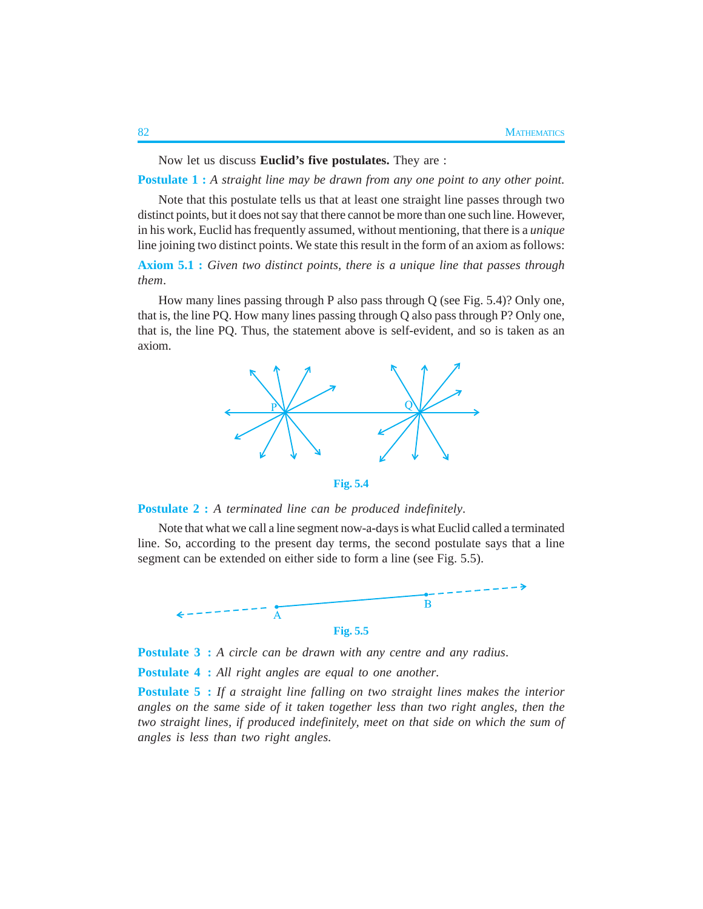Now let us discuss **Euclid's five postulates.** They are :

**Postulate 1 :** *A straight line may be drawn from any one point to any other point.*

Note that this postulate tells us that at least one straight line passes through two distinct points, but it does not say that there cannot be more than one such line. However, in his work, Euclid has frequently assumed, without mentioning, that there is a *unique* line joining two distinct points. We state this result in the form of an axiom as follows:

**Axiom 5.1 :** *Given two distinct points, there is a unique line that passes through them*.

How many lines passing through P also pass through Q (see Fig. 5.4)? Only one, that is, the line PQ. How many lines passing through Q also pass through P? Only one, that is, the line PQ. Thus, the statement above is self-evident, and so is taken as an axiom.



**Fig. 5.4**

**Postulate 2 :** *A terminated line can be produced indefinitely*.

Note that what we call a line segment now-a-days is what Euclid called a terminated line. So, according to the present day terms, the second postulate says that a line segment can be extended on either side to form a line (see Fig. 5.5).



**Postulate 3 :** *A circle can be drawn with any centre and any radius*.

**Postulate 4 :** *All right angles are equal to one another*.

**Postulate 5 :** *If a straight line falling on two straight lines makes the interior angles on the same side of it taken together less than two right angles, then the two straight lines, if produced indefinitely, meet on that side on which the sum of angles is less than two right angles.*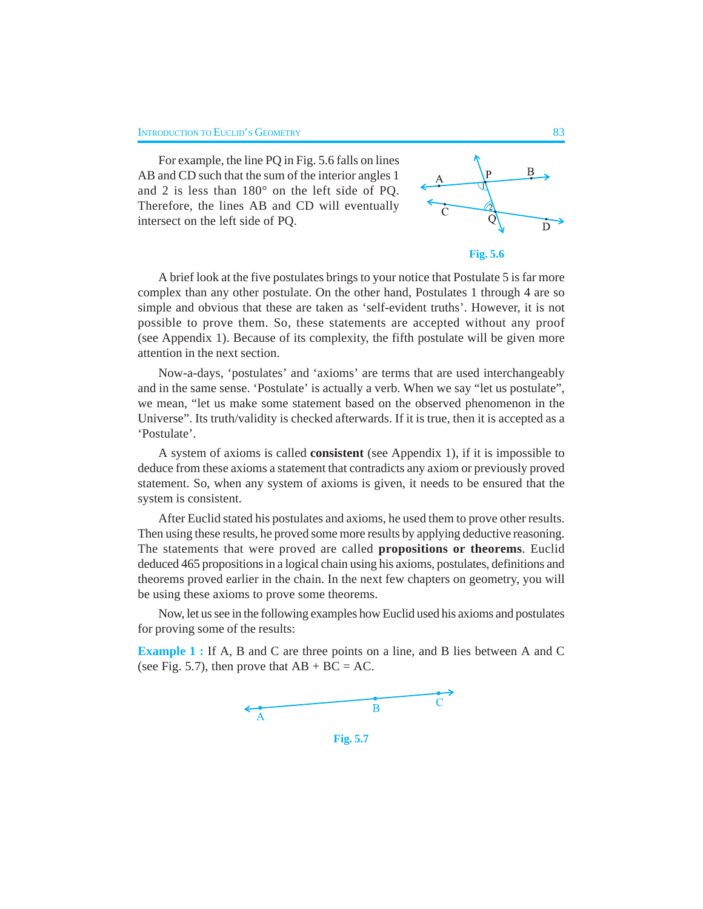For example, the line PQ in Fig. 5.6 falls on lines AB and CD such that the sum of the interior angles 1 and 2 is less than 180° on the left side of PQ. Therefore, the lines AB and CD will eventually intersect on the left side of PQ.





A brief look at the five postulates brings to your notice that Postulate 5 is far more complex than any other postulate. On the other hand, Postulates 1 through 4 are so simple and obvious that these are taken as 'self-evident truths'. However, it is not possible to prove them. So, these statements are accepted without any proof (see Appendix 1). Because of its complexity, the fifth postulate will be given more attention in the next section.

Now-a-days, 'postulates' and 'axioms' are terms that are used interchangeably and in the same sense. 'Postulate' is actually a verb. When we say "let us postulate", we mean, "let us make some statement based on the observed phenomenon in the Universe". Its truth/validity is checked afterwards. If it is true, then it is accepted as a 'Postulate'.

A system of axioms is called **consistent** (see Appendix 1), if it is impossible to deduce from these axioms a statement that contradicts any axiom or previously proved statement. So, when any system of axioms is given, it needs to be ensured that the system is consistent.

After Euclid stated his postulates and axioms, he used them to prove other results. Then using these results, he proved some more results by applying deductive reasoning. The statements that were proved are called **propositions or theorems**. Euclid deduced 465 propositions in a logical chain using his axioms, postulates, definitions and theorems proved earlier in the chain. In the next few chapters on geometry, you will be using these axioms to prove some theorems.

Now, let us see in the following examples how Euclid used his axioms and postulates for proving some of the results:

**Example 1 :** If A, B and C are three points on a line, and B lies between A and C (see Fig. 5.7), then prove that  $AB + BC = AC$ .



**Fig. 5.7**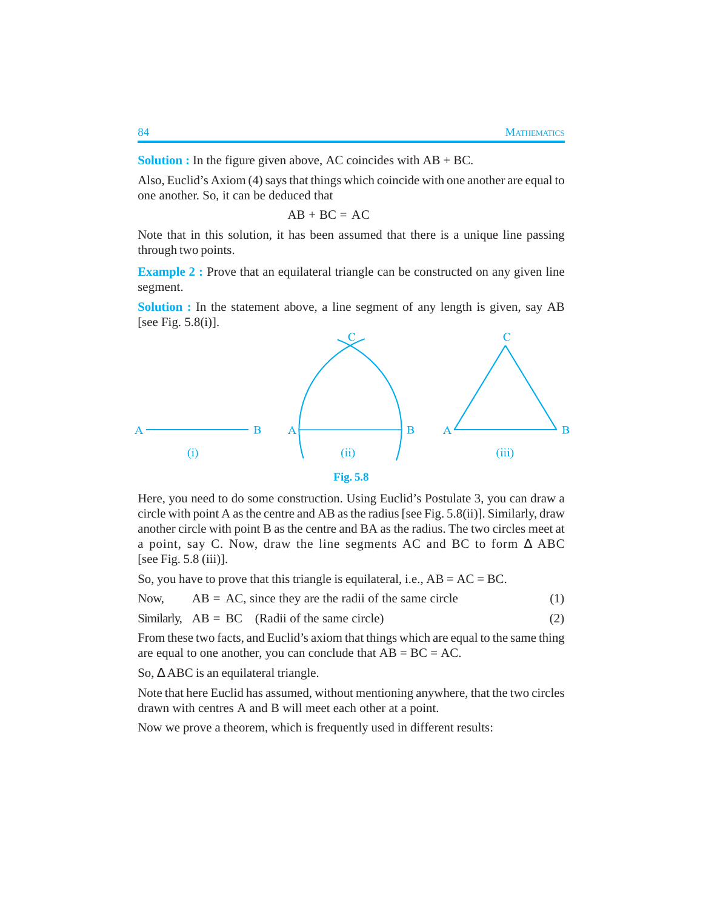**Solution :** In the figure given above, AC coincides with AB + BC.

Also, Euclid's Axiom (4) says that things which coincide with one another are equal to one another. So, it can be deduced that

$$
AB + BC = AC
$$

Note that in this solution, it has been assumed that there is a unique line passing through two points.

**Example 2 :** Prove that an equilateral triangle can be constructed on any given line segment.

**Solution :** In the statement above, a line segment of any length is given, say AB [see Fig. 5.8(i)].



Here, you need to do some construction. Using Euclid's Postulate 3, you can draw a circle with point A as the centre and AB as the radius [see Fig. 5.8(ii)]. Similarly, draw another circle with point B as the centre and BA as the radius. The two circles meet at a point, say C. Now, draw the line segments AC and BC to form ∆ ABC [see Fig. 5.8 (iii)].

So, you have to prove that this triangle is equilateral, i.e.,  $AB = AC = BC$ .

| Now,<br>$AB = AC$ , since they are the radii of the same circle |  |  |  |
|-----------------------------------------------------------------|--|--|--|
|-----------------------------------------------------------------|--|--|--|

Similarly,  $AB = BC$  (Radii of the same circle) (2)

From these two facts, and Euclid's axiom that things which are equal to the same thing are equal to one another, you can conclude that  $AB = BC = AC$ .

So, ∆ ABC is an equilateral triangle.

Note that here Euclid has assumed, without mentioning anywhere, that the two circles drawn with centres A and B will meet each other at a point.

Now we prove a theorem, which is frequently used in different results: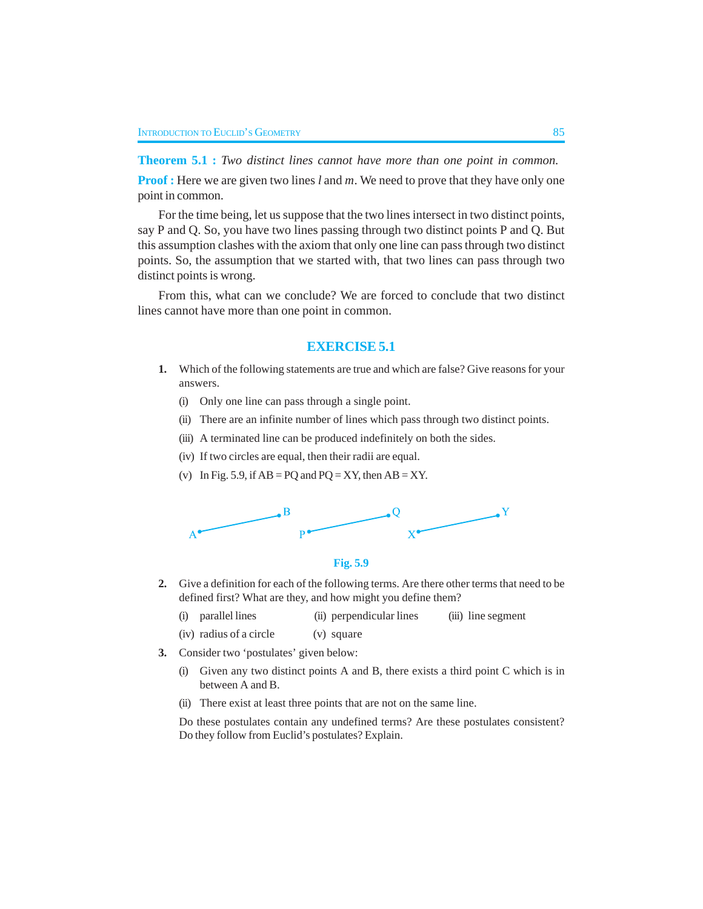**Theorem 5.1 :** *Two distinct lines cannot have more than one point in common.*

**Proof :** Here we are given two lines *l* and *m*. We need to prove that they have only one point in common.

For the time being, let us suppose that the two lines intersect in two distinct points, say P and Q. So, you have two lines passing through two distinct points P and Q. But this assumption clashes with the axiom that only one line can pass through two distinct points. So, the assumption that we started with, that two lines can pass through two distinct points is wrong.

From this, what can we conclude? We are forced to conclude that two distinct lines cannot have more than one point in common.

## **EXERCISE 5.1**

- **1.** Which of the following statements are true and which are false? Give reasons for your answers.
	- (i) Only one line can pass through a single point.
	- (ii) There are an infinite number of lines which pass through two distinct points.
	- (iii) A terminated line can be produced indefinitely on both the sides.
	- (iv) If two circles are equal, then their radii are equal.
	- (v) In Fig. 5.9, if  $AB = PO$  and  $PO = XY$ , then  $AB = XY$ .





- **2.** Give a definition for each of the following terms. Are there other terms that need to be defined first? What are they, and how might you define them?
	- (i) parallel lines (ii) perpendicular lines (iii) line segment
	- (iv) radius of a circle (v) square
- **3.** Consider two 'postulates' given below:
	- (i) Given any two distinct points A and B, there exists a third point C which is in between A and B.
	- (ii) There exist at least three points that are not on the same line.

Do these postulates contain any undefined terms? Are these postulates consistent? Do they follow from Euclid's postulates? Explain.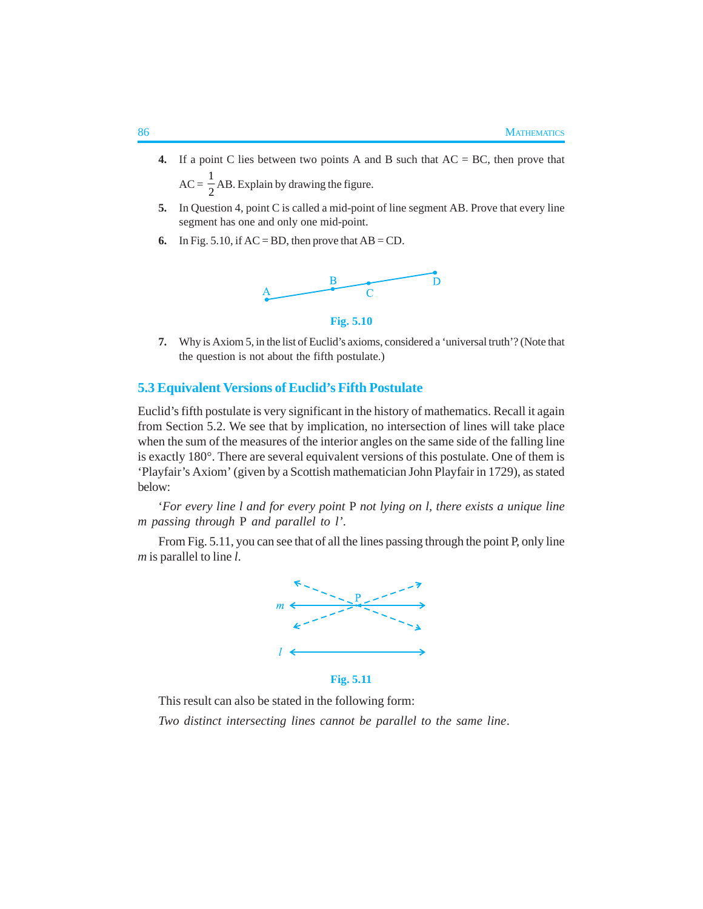**4.** If a point C lies between two points A and B such that  $AC = BC$ , then prove that

 $AC = \frac{1}{2} AB$ . Explain by drawing the figure.

- **5.** In Question 4, point C is called a mid-point of line segment AB. Prove that every line segment has one and only one mid-point.
- 6. In Fig. 5.10, if  $AC = BD$ , then prove that  $AB = CD$ .





**7.** Why is Axiom 5, in the list of Euclid's axioms, considered a 'universal truth'? (Note that the question is not about the fifth postulate.)

#### **5.3 Equivalent Versions of Euclid's Fifth Postulate**

Euclid's fifth postulate is very significant in the history of mathematics. Recall it again from Section 5.2. We see that by implication, no intersection of lines will take place when the sum of the measures of the interior angles on the same side of the falling line is exactly 180°. There are several equivalent versions of this postulate. One of them is 'Playfair's Axiom' (given by a Scottish mathematician John Playfair in 1729), as stated below:

'*For every line l and for every point* P *not lying on l, there exists a unique line m passing through* P *and parallel to l'*.

From Fig. 5.11, you can see that of all the lines passing through the point P, only line *m* is parallel to line *l*.



**Fig. 5.11**

This result can also be stated in the following form: *Two distinct intersecting lines cannot be parallel to the same line*.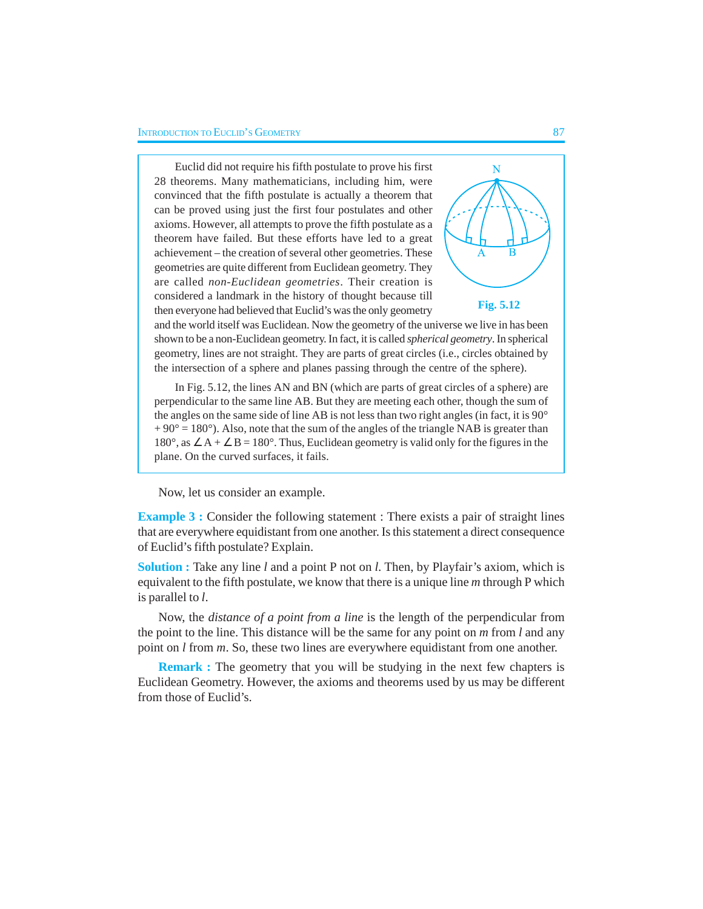Euclid did not require his fifth postulate to prove his first 28 theorems. Many mathematicians, including him, were convinced that the fifth postulate is actually a theorem that can be proved using just the first four postulates and other axioms. However, all attempts to prove the fifth postulate as a theorem have failed. But these efforts have led to a great achievement – the creation of several other geometries. These geometries are quite different from Euclidean geometry. They are called *non-Euclidean geometries*. Their creation is considered a landmark in the history of thought because till then everyone had believed that Euclid's was the only geometry



and the world itself was Euclidean. Now the geometry of the universe we live in has been shown to be a non-Euclidean geometry. In fact, it is called *spherical geometry*. In spherical geometry, lines are not straight. They are parts of great circles (i.e., circles obtained by the intersection of a sphere and planes passing through the centre of the sphere).

In Fig. 5.12, the lines AN and BN (which are parts of great circles of a sphere) are perpendicular to the same line AB. But they are meeting each other, though the sum of the angles on the same side of line AB is not less than two right angles (in fact, it is 90°  $+90^\circ = 180^\circ$ ). Also, note that the sum of the angles of the triangle NAB is greater than  $180^\circ$ , as  $\angle A + \angle B = 180^\circ$ . Thus, Euclidean geometry is valid only for the figures in the plane. On the curved surfaces, it fails.

Now, let us consider an example.

**Example 3 :** Consider the following statement : There exists a pair of straight lines that are everywhere equidistant from one another. Is this statement a direct consequence of Euclid's fifth postulate? Explain.

**Solution :** Take any line *l* and a point P not on *l*. Then, by Playfair's axiom, which is equivalent to the fifth postulate, we know that there is a unique line *m* through P which is parallel to *l*.

Now, the *distance of a point from a line* is the length of the perpendicular from the point to the line. This distance will be the same for any point on *m* from *l* and any point on *l* from *m*. So, these two lines are everywhere equidistant from one another.

**Remark :** The geometry that you will be studying in the next few chapters is Euclidean Geometry. However, the axioms and theorems used by us may be different from those of Euclid's.